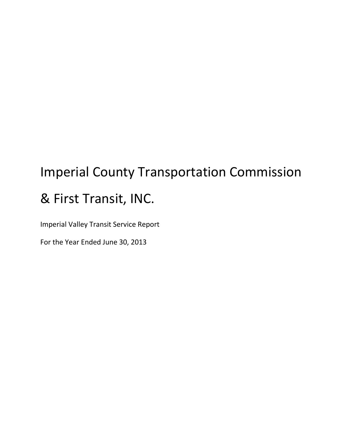# Imperial County Transportation Commission & First Transit, INC.

Imperial Valley Transit Service Report

For the Year Ended June 30, 2013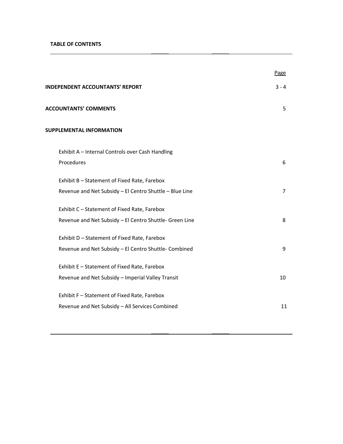## TABLE OF CONTENTS

|                                                         | Page           |
|---------------------------------------------------------|----------------|
| <b>INDEPENDENT ACCOUNTANTS' REPORT</b>                  | $3 - 4$        |
| <b>ACCOUNTANTS' COMMENTS</b>                            | 5              |
| <b>SUPPLEMENTAL INFORMATION</b>                         |                |
| Exhibit A - Internal Controls over Cash Handling        |                |
| Procedures                                              | 6              |
| Exhibit B - Statement of Fixed Rate, Farebox            |                |
| Revenue and Net Subsidy - El Centro Shuttle - Blue Line | $\overline{7}$ |
| Exhibit C - Statement of Fixed Rate, Farebox            |                |
| Revenue and Net Subsidy - El Centro Shuttle- Green Line | 8              |
| Exhibit D - Statement of Fixed Rate, Farebox            |                |
| Revenue and Net Subsidy - El Centro Shuttle-Combined    | 9              |
| Exhibit E - Statement of Fixed Rate, Farebox            |                |
| Revenue and Net Subsidy - Imperial Valley Transit       | 10             |
| Exhibit F - Statement of Fixed Rate, Farebox            |                |
| Revenue and Net Subsidy - All Services Combined         | 11             |

\_\_\_\_\_\_ \_\_\_\_\_\_

 $\mathcal{L}_\text{max}$  , which is a set of the set of the set of the set of the set of the set of the set of the set of the set of the set of the set of the set of the set of the set of the set of the set of the set of the set of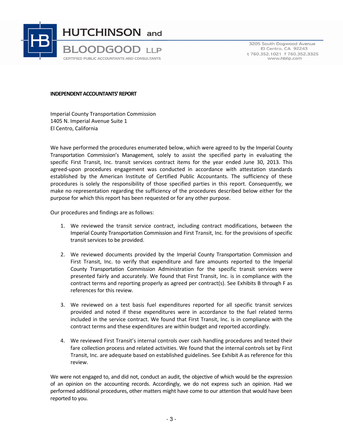

3205 South Dogwood Avenue El Centro, CA 92243 t 760.352.1021 f 760.352.3325 www.hbllp.com

#### INDEPENDENT ACCOUNTANTS' REPORT

Imperial County Transportation Commission 1405 N. Imperial Avenue Suite 1 El Centro, California

We have performed the procedures enumerated below, which were agreed to by the Imperial County Transportation Commission's Management, solely to assist the specified party in evaluating the specific First Transit, Inc. transit services contract items for the year ended June 30, 2013. This agreed-upon procedures engagement was conducted in accordance with attestation standards established by the American Institute of Certified Public Accountants. The sufficiency of these procedures is solely the responsibility of those specified parties in this report. Consequently, we make no representation regarding the sufficiency of the procedures described below either for the purpose for which this report has been requested or for any other purpose.

Our procedures and findings are as follows:

- 1. We reviewed the transit service contract, including contract modifications, between the Imperial County Transportation Commission and First Transit, Inc. for the provisions of specific transit services to be provided.
- 2. We reviewed documents provided by the Imperial County Transportation Commission and First Transit, Inc. to verify that expenditure and fare amounts reported to the Imperial County Transportation Commission Administration for the specific transit services were presented fairly and accurately. We found that First Transit, Inc. is in compliance with the contract terms and reporting properly as agreed per contract(s). See Exhibits B through F as references for this review.
- 3. We reviewed on a test basis fuel expenditures reported for all specific transit services provided and noted if these expenditures were in accordance to the fuel related terms included in the service contract. We found that First Transit, Inc. is in compliance with the contract terms and these expenditures are within budget and reported accordingly.
- 4. We reviewed First Transit's internal controls over cash handling procedures and tested their fare collection process and related activities. We found that the internal controls set by First Transit, Inc. are adequate based on established guidelines. See Exhibit A as reference for this review.

We were not engaged to, and did not, conduct an audit, the objective of which would be the expression of an opinion on the accounting records. Accordingly, we do not express such an opinion. Had we performed additional procedures, other matters might have come to our attention that would have been reported to you.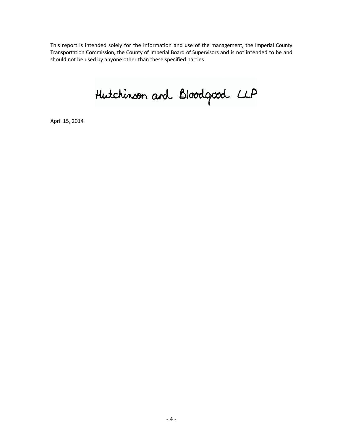This report is intended solely for the information and use of the management, the Imperial County Transportation Commission, the County of Imperial Board of Supervisors and is not intended to be and should not be used by anyone other than these specified parties.

Hutchinson and Bloodgood LLP

April 15, 2014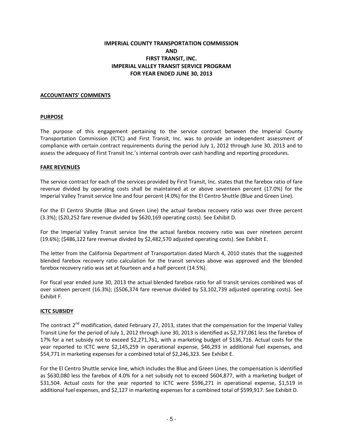# IMPERIAL COUNTY TRANSPORTATION COMMISSION AND FIRST TRANSIT, INC. IMPERIAL VALLEY TRANSIT SERVICE PROGRAM FOR YEAR ENDED JUNE 30, 2013

## ACCOUNTANTS' COMMENTS

## PURPOSE

The purpose of this engagement pertaining to the service contract between the Imperial County Transportation Commission (ICTC) and First Transit, Inc. was to provide an independent assessment of compliance with certain contract requirements during the period July 1, 2012 through June 30, 2013 and to assess the adequacy of First Transit Inc.'s internal controls over cash handling and reporting procedures.

### FARE REVENUES

The service contract for each of the services provided by First Transit, Inc. states that the farebox ratio of fare revenue divided by operating costs shall be maintained at or above seventeen percent (17.0%) for the Imperial Valley Transit service line and four percent (4.0%) for the El Centro Shuttle (Blue and Green Line).

For the El Centro Shuttle (Blue and Green Line) the actual farebox recovery ratio was over three percent (3.3%); (\$20,252 fare revenue divided by \$620,169 operating costs). See Exhibit D.

For the Imperial Valley Transit service line the actual farebox recovery ratio was over nineteen percent (19.6%); (\$486,122 fare revenue divided by \$2,482,570 adjusted operating costs). See Exhibit E.

The letter from the California Department of Transportation dated March 4, 2010 states that the suggested blended farebox recovery ratio calculation for the transit services above was approved and the blended farebox recovery ratio was set at fourteen and a half percent (14.5%).

For fiscal year ended June 30, 2013 the actual blended farebox ratio for all transit services combined was of over sixteen percent (16.3%); (\$506,374 fare revenue divided by \$3,102,739 adjusted operating costs). See Exhibit F.

### ICTC SUBSIDY

The contract 2<sup>nd</sup> modification, dated February 27, 2013, states that the compensation for the Imperial Valley Transit Line for the period of July 1, 2012 through June 30, 2013 is identified as \$2,737,061 less the farebox of 17% for a net subsidy not to exceed \$2,271,761, with a marketing budget of \$136,716. Actual costs for the year reported to ICTC were \$2,145,259 in operational expense, \$46,293 in additional fuel expenses, and \$54,771 in marketing expenses for a combined total of \$2,246,323. See Exhibit E.

For the El Centro Shuttle service line, which includes the Blue and Green Lines, the compensation is identified as \$630,080 less the farebox of 4.0% for a net subsidy not to exceed \$604,877, with a marketing budget of \$31,504. Actual costs for the year reported to ICTC were \$596,271 in operational expense, \$1,519 in additional fuel expenses, and \$2,127 in marketing expenses for a combined total of \$599,917. See Exhibit D.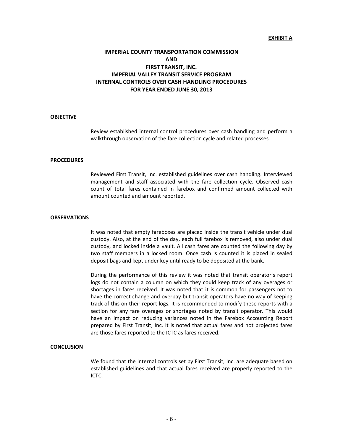#### EXHIBIT A

# IMPERIAL COUNTY TRANSPORTATION COMMISSION AND FIRST TRANSIT, INC. IMPERIAL VALLEY TRANSIT SERVICE PROGRAM INTERNAL CONTROLS OVER CASH HANDLING PROCEDURES FOR YEAR ENDED JUNE 30, 2013

#### **OBJECTIVE**

Review established internal control procedures over cash handling and perform a walkthrough observation of the fare collection cycle and related processes.

#### **PROCEDURES**

Reviewed First Transit, Inc. established guidelines over cash handling. Interviewed management and staff associated with the fare collection cycle. Observed cash count of total fares contained in farebox and confirmed amount collected with amount counted and amount reported.

#### **OBSERVATIONS**

It was noted that empty fareboxes are placed inside the transit vehicle under dual custody. Also, at the end of the day, each full farebox is removed, also under dual custody, and locked inside a vault. All cash fares are counted the following day by two staff members in a locked room. Once cash is counted it is placed in sealed deposit bags and kept under key until ready to be deposited at the bank.

During the performance of this review it was noted that transit operator's report logs do not contain a column on which they could keep track of any overages or shortages in fares received. It was noted that it is common for passengers not to have the correct change and overpay but transit operators have no way of keeping track of this on their report logs. It is recommended to modify these reports with a section for any fare overages or shortages noted by transit operator. This would have an impact on reducing variances noted in the Farebox Accounting Report prepared by First Transit, Inc. It is noted that actual fares and not projected fares are those fares reported to the ICTC as fares received.

#### **CONCLUSION**

We found that the internal controls set by First Transit, Inc. are adequate based on established guidelines and that actual fares received are properly reported to the ICTC.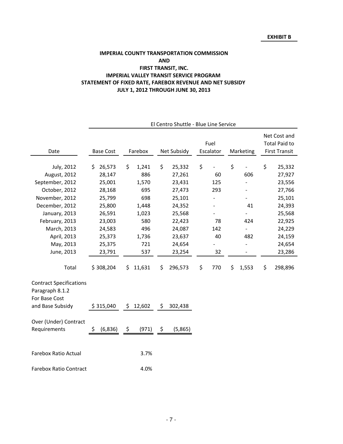# STATEMENT OF FIXED RATE, FAREBOX REVENUE AND NET SUBSIDY JULY 1, 2012 THROUGH JUNE 30, 2013 IMPERIAL COUNTY TRANSPORTATION COMMISSION AND FIRST TRANSIT, INC. IMPERIAL VALLEY TRANSIT SERVICE PROGRAM

|                                                                    |                  |               | El Centro Shuttle - Blue Line Service |                   |                          |                                                              |
|--------------------------------------------------------------------|------------------|---------------|---------------------------------------|-------------------|--------------------------|--------------------------------------------------------------|
| Date                                                               | <b>Base Cost</b> | Farebox       | Net Subsidy                           | Fuel<br>Escalator | Marketing                | Net Cost and<br><b>Total Paid to</b><br><b>First Transit</b> |
| July, 2012                                                         | 26,573<br>\$     | \$<br>1,241   | \$<br>25,332                          | \$                | \$                       | \$<br>25,332                                                 |
| August, 2012                                                       | 28,147           | 886           | 27,261                                | 60                | 606                      | 27,927                                                       |
| September, 2012                                                    | 25,001           | 1,570         | 23,431                                | 125               |                          | 23,556                                                       |
| October, 2012                                                      | 28,168           | 695           | 27,473                                | 293               |                          | 27,766                                                       |
| November, 2012                                                     | 25,799           | 698           | 25,101                                |                   |                          | 25,101                                                       |
| December, 2012                                                     | 25,800           | 1,448         | 24,352                                |                   | 41                       | 24,393                                                       |
| January, 2013                                                      | 26,591           | 1,023         | 25,568                                |                   |                          | 25,568                                                       |
| February, 2013                                                     | 23,003           | 580           | 22,423                                | 78                | 424                      | 22,925                                                       |
| March, 2013                                                        | 24,583           | 496           | 24,087                                | 142               | $\overline{\phantom{a}}$ | 24,229                                                       |
| April, 2013                                                        | 25,373           | 1,736         | 23,637                                | 40                | 482                      | 24,159                                                       |
| May, 2013                                                          | 25,375           | 721           | 24,654                                |                   |                          | 24,654                                                       |
| June, 2013                                                         | 23,791           | 537           | 23,254                                | 32                | $\overline{\phantom{a}}$ | 23,286                                                       |
| Total                                                              | \$308,204        | 11,631<br>\$. | 296,573<br>\$                         | \$<br>770         | \$<br>1,553              | \$<br>298,896                                                |
|                                                                    |                  |               |                                       |                   |                          |                                                              |
| <b>Contract Specifications</b><br>Paragraph 8.1.2<br>For Base Cost |                  |               |                                       |                   |                          |                                                              |
| and Base Subsidy                                                   | \$315,040        | \$12,602      | \$<br>302,438                         |                   |                          |                                                              |
| Over (Under) Contract                                              |                  |               |                                       |                   |                          |                                                              |
| Requirements                                                       | (6, 836)<br>\$   | \$<br>(971)   | (5,865)<br>\$                         |                   |                          |                                                              |
| <b>Farebox Ratio Actual</b>                                        |                  | 3.7%          |                                       |                   |                          |                                                              |
| <b>Farebox Ratio Contract</b>                                      |                  | 4.0%          |                                       |                   |                          |                                                              |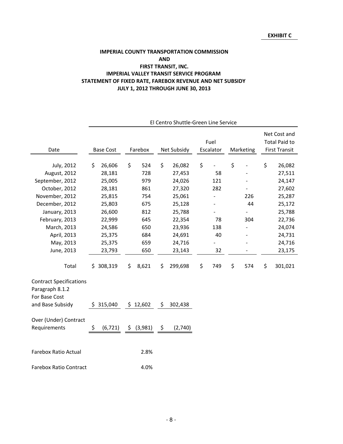# STATEMENT OF FIXED RATE, FAREBOX REVENUE AND NET SUBSIDY JULY 1, 2012 THROUGH JUNE 30, 2013 IMPERIAL COUNTY TRANSPORTATION COMMISSION AND FIRST TRANSIT, INC. IMPERIAL VALLEY TRANSIT SERVICE PROGRAM

|                                                                    | El Centro Shuttle-Green Line Service |  |    |          |      |             |    |           |           |    |                      |
|--------------------------------------------------------------------|--------------------------------------|--|----|----------|------|-------------|----|-----------|-----------|----|----------------------|
|                                                                    |                                      |  |    |          |      |             |    |           |           |    | Net Cost and         |
|                                                                    |                                      |  |    |          |      |             |    | Fuel      |           |    | <b>Total Paid to</b> |
| Date                                                               | <b>Base Cost</b>                     |  |    | Farebox  |      | Net Subsidy |    | Escalator | Marketing |    | <b>First Transit</b> |
|                                                                    |                                      |  |    |          |      |             |    |           |           |    |                      |
| July, 2012                                                         | 26,606<br>\$                         |  | \$ | 524      | \$   | 26,082      | \$ |           | \$        | \$ | 26,082               |
| August, 2012                                                       | 28,181                               |  |    | 728      |      | 27,453      |    | 58        |           |    | 27,511               |
| September, 2012                                                    | 25,005                               |  |    | 979      |      | 24,026      |    | 121       |           |    | 24,147               |
| October, 2012                                                      | 28,181                               |  |    | 861      |      | 27,320      |    | 282       |           |    | 27,602               |
| November, 2012                                                     | 25,815                               |  |    | 754      |      | 25,061      |    |           | 226       |    | 25,287               |
| December, 2012                                                     | 25,803                               |  |    | 675      |      | 25,128      |    |           | 44        |    | 25,172               |
| January, 2013                                                      | 26,600                               |  |    | 812      |      | 25,788      |    |           |           |    | 25,788               |
| February, 2013                                                     | 22,999                               |  |    | 645      |      | 22,354      |    | 78        | 304       |    | 22,736               |
| March, 2013                                                        | 24,586                               |  |    | 650      |      | 23,936      |    | 138       |           |    | 24,074               |
| April, 2013                                                        | 25,375                               |  |    | 684      |      | 24,691      |    | 40        |           |    | 24,731               |
| May, 2013                                                          | 25,375                               |  |    | 659      |      | 24,716      |    |           |           |    | 24,716               |
| June, 2013                                                         | 23,793                               |  |    | 650      |      | 23,143      |    | 32        |           |    | 23,175               |
| Total                                                              | 308,319<br>\$                        |  | \$ | 8,621    | \$   | 299,698     | \$ | 749       | \$<br>574 | \$ | 301,021              |
| <b>Contract Specifications</b><br>Paragraph 8.1.2<br>For Base Cost |                                      |  |    |          |      |             |    |           |           |    |                      |
| and Base Subsidy                                                   | \$315,040                            |  |    | \$12,602 | \$   | 302,438     |    |           |           |    |                      |
| Over (Under) Contract                                              |                                      |  |    |          |      |             |    |           |           |    |                      |
| Requirements                                                       | \$<br>(6, 721)                       |  | \$ | (3,981)  | - \$ | (2,740)     |    |           |           |    |                      |
| <b>Farebox Ratio Actual</b>                                        |                                      |  |    | 2.8%     |      |             |    |           |           |    |                      |
| <b>Farebox Ratio Contract</b>                                      |                                      |  |    | 4.0%     |      |             |    |           |           |    |                      |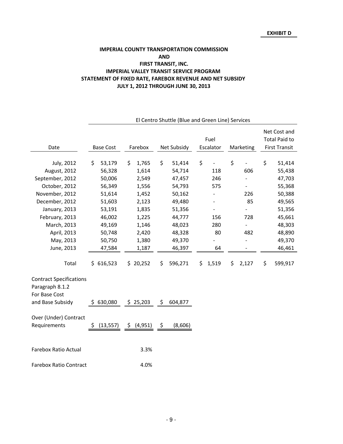## IMPERIAL COUNTY TRANSPORTATION COMMISSION IMPERIAL VALLEY TRANSIT SERVICE PROGRAM STATEMENT OF FIXED RATE, FAREBOX REVENUE AND NET SUBSIDY JULY 1, 2012 THROUGH JUNE 30, 2013 AND FIRST TRANSIT, INC.

|                                                                    | El Centro Shuttle (Blue and Green Line) Services |                 |               |                     |                              |                      |  |
|--------------------------------------------------------------------|--------------------------------------------------|-----------------|---------------|---------------------|------------------------------|----------------------|--|
|                                                                    |                                                  |                 |               |                     |                              | Net Cost and         |  |
|                                                                    |                                                  |                 |               | Fuel                |                              | <b>Total Paid to</b> |  |
| Date                                                               | <b>Base Cost</b>                                 | Farebox         | Net Subsidy   | Escalator           | Marketing                    | <b>First Transit</b> |  |
|                                                                    |                                                  |                 |               |                     |                              |                      |  |
| July, 2012                                                         | \$<br>53,179                                     | \$<br>1,765     | \$<br>51,414  | \$<br>$\frac{1}{2}$ | \$                           | \$<br>51,414         |  |
| August, 2012                                                       | 56,328                                           | 1,614           | 54,714        | 118                 | 606                          | 55,438               |  |
| September, 2012                                                    | 50,006                                           | 2,549           | 47,457        | 246                 |                              | 47,703               |  |
| October, 2012                                                      | 56,349                                           | 1,556           | 54,793        | 575                 | $\qquad \qquad \blacksquare$ | 55,368               |  |
| November, 2012                                                     | 51,614                                           | 1,452           | 50,162        |                     | 226                          | 50,388               |  |
| December, 2012                                                     | 51,603                                           | 2,123           | 49,480        |                     | 85                           | 49,565               |  |
| January, 2013                                                      | 53,191                                           | 1,835           | 51,356        |                     |                              | 51,356               |  |
| February, 2013                                                     | 46,002                                           | 1,225           | 44,777        | 156                 | 728                          | 45,661               |  |
| March, 2013                                                        | 49,169                                           | 1,146           | 48,023        | 280                 |                              | 48,303               |  |
| April, 2013                                                        | 50,748                                           | 2,420           | 48,328        | 80                  | 482                          | 48,890               |  |
| May, 2013                                                          | 50,750                                           | 1,380           | 49,370        |                     | $\frac{1}{2}$                | 49,370               |  |
| June, 2013                                                         | 47,584                                           | 1,187           | 46,397        | 64                  |                              | 46,461               |  |
| Total                                                              | \$616,523                                        | \$20,252        | \$<br>596,271 | 1,519<br>\$         | \$<br>2,127                  | \$<br>599,917        |  |
| <b>Contract Specifications</b><br>Paragraph 8.1.2<br>For Base Cost |                                                  |                 |               |                     |                              |                      |  |
| and Base Subsidy                                                   | \$630,080                                        | \$25,203        | \$<br>604,877 |                     |                              |                      |  |
| Over (Under) Contract                                              |                                                  |                 |               |                     |                              |                      |  |
| Requirements                                                       | (13, 557)<br>\$                                  | \$.<br>(4, 951) | (8,606)<br>\$ |                     |                              |                      |  |
| <b>Farebox Ratio Actual</b>                                        |                                                  | 3.3%            |               |                     |                              |                      |  |
| <b>Farebox Ratio Contract</b>                                      |                                                  | 4.0%            |               |                     |                              |                      |  |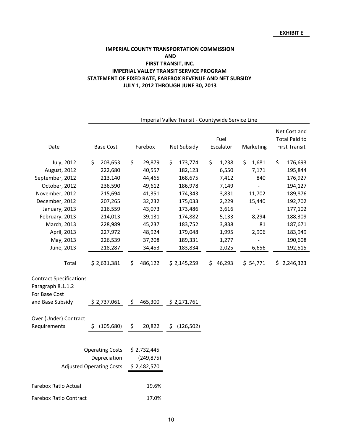## IMPERIAL COUNTY TRANSPORTATION COMMISSION IMPERIAL VALLEY TRANSIT SERVICE PROGRAM STATEMENT OF FIXED RATE, FAREBOX REVENUE AND NET SUBSIDY JULY 1, 2012 THROUGH JUNE 30, 2013 AND FIRST TRANSIT, INC.

|                                | Imperial Valley Transit - Countywide Service Line |                        |               |             |             |                      |  |
|--------------------------------|---------------------------------------------------|------------------------|---------------|-------------|-------------|----------------------|--|
|                                |                                                   |                        |               |             |             | Net Cost and         |  |
|                                |                                                   |                        |               | Fuel        |             | <b>Total Paid to</b> |  |
| Date                           | <b>Base Cost</b>                                  | Farebox                | Net Subsidy   | Escalator   | Marketing   | <b>First Transit</b> |  |
|                                |                                                   |                        |               |             |             |                      |  |
| July, 2012                     | 203,653<br>\$                                     | \$<br>29,879           | \$<br>173,774 | \$<br>1,238 | \$<br>1,681 | \$<br>176,693        |  |
| August, 2012                   | 222,680                                           | 40,557                 | 182,123       | 6,550       | 7,171       | 195,844              |  |
| September, 2012                | 213,140                                           | 44,465                 | 168,675       | 7,412       | 840         | 176,927              |  |
| October, 2012                  | 236,590                                           | 49,612                 | 186,978       | 7,149       |             | 194,127              |  |
| November, 2012                 | 215,694                                           | 41,351                 | 174,343       | 3,831       | 11,702      | 189,876              |  |
| December, 2012                 | 207,265                                           | 32,232                 | 175,033       | 2,229       | 15,440      | 192,702              |  |
| January, 2013                  | 216,559                                           | 43,073                 | 173,486       | 3,616       |             | 177,102              |  |
| February, 2013                 | 214,013                                           | 39,131                 | 174,882       | 5,133       | 8,294       | 188,309              |  |
| March, 2013                    | 228,989                                           | 45,237                 | 183,752       | 3,838       | 81          | 187,671              |  |
| April, 2013                    | 227,972                                           | 48,924                 | 179,048       | 1,995       | 2,906       | 183,949              |  |
| May, 2013                      | 226,539                                           | 37,208                 | 189,331       | 1,277       |             | 190,608              |  |
| June, 2013                     | 218,287                                           | 34,453                 | 183,834       | 2,025       | 6,656       | 192,515              |  |
| Total                          | \$2,631,381                                       | 486,122<br>Ś.          | \$2,145,259   | \$46,293    | \$54,771    | \$2,246,323          |  |
| <b>Contract Specifications</b> |                                                   |                        |               |             |             |                      |  |
| Paragraph 8.1.1.2              |                                                   |                        |               |             |             |                      |  |
| For Base Cost                  |                                                   |                        |               |             |             |                      |  |
| and Base Subsidy               | \$2,737,061                                       | 465,300<br>S.          | \$2,271,761   |             |             |                      |  |
|                                |                                                   |                        |               |             |             |                      |  |
| Over (Under) Contract          |                                                   |                        |               |             |             |                      |  |
| Requirements                   | (105, 680)                                        | 20,822<br>$\mathsf{S}$ | \$(126,502)   |             |             |                      |  |
|                                |                                                   |                        |               |             |             |                      |  |
|                                |                                                   |                        |               |             |             |                      |  |
|                                | <b>Operating Costs</b>                            | \$2,732,445            |               |             |             |                      |  |
|                                | Depreciation                                      | (249, 875)             |               |             |             |                      |  |
|                                | <b>Adjusted Operating Costs</b>                   | \$2,482,570            |               |             |             |                      |  |
| Farebox Ratio Actual           |                                                   | 19.6%                  |               |             |             |                      |  |
|                                |                                                   |                        |               |             |             |                      |  |
| <b>Farebox Ratio Contract</b>  |                                                   | 17.0%                  |               |             |             |                      |  |